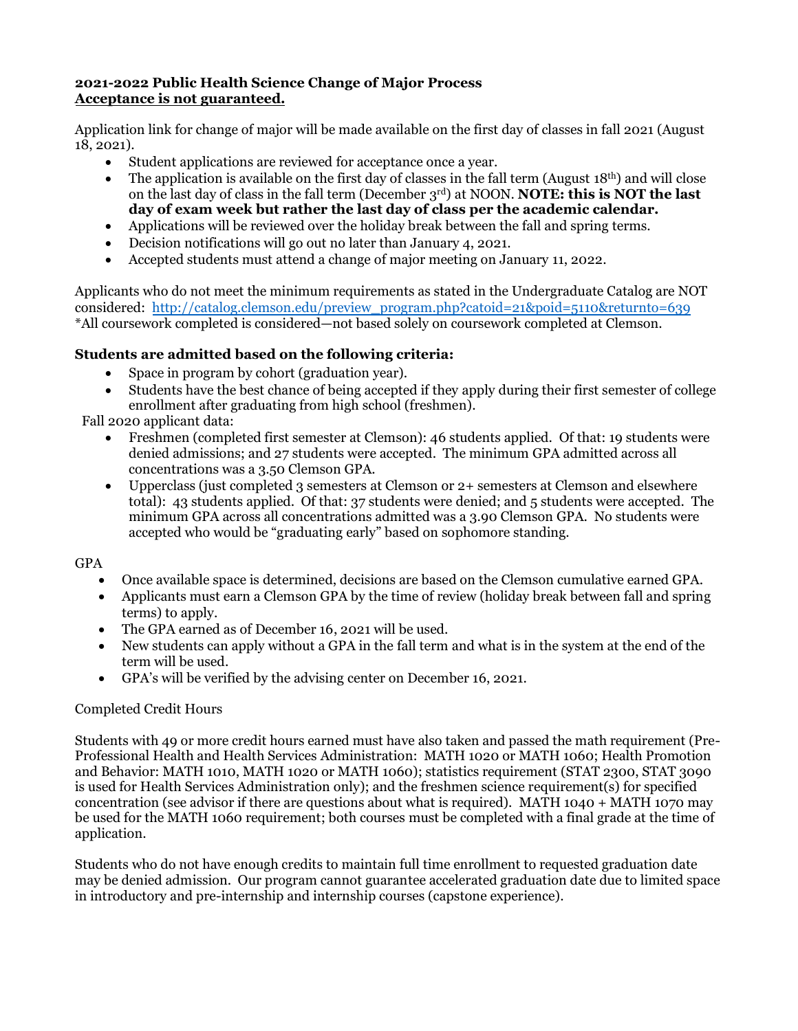## **2021-2022 Public Health Science Change of Major Process Acceptance is not guaranteed.**

Application link for change of major will be made available on the first day of classes in fall 2021 (August 18, 2021).

- Student applications are reviewed for acceptance once a year.
- The application is available on the first day of classes in the fall term (August  $18<sup>th</sup>$ ) and will close on the last day of class in the fall term (December 3<sup>rd</sup>) at NOON. **NOTE: this is NOT the last day of exam week but rather the last day of class per the academic calendar.**
- Applications will be reviewed over the holiday break between the fall and spring terms.
- Decision notifications will go out no later than January 4, 2021.
- Accepted students must attend a change of major meeting on January 11, 2022.

Applicants who do not meet the minimum requirements as stated in the Undergraduate Catalog are NOT considered: [http://catalog.clemson.edu/preview\\_program.php?catoid=21&poid=5110&returnto=639](http://catalog.clemson.edu/preview_program.php?catoid=21&poid=5110&returnto=639) \*All coursework completed is considered—not based solely on coursework completed at Clemson.

# **Students are admitted based on the following criteria:**

- Space in program by cohort (graduation year).
- Students have the best chance of being accepted if they apply during their first semester of college enrollment after graduating from high school (freshmen).

Fall 2020 applicant data:

- Freshmen (completed first semester at Clemson): 46 students applied. Of that: 19 students were denied admissions; and 27 students were accepted. The minimum GPA admitted across all concentrations was a 3.50 Clemson GPA.
- Upperclass (just completed 3 semesters at Clemson or 2+ semesters at Clemson and elsewhere total): 43 students applied. Of that: 37 students were denied; and 5 students were accepted. The minimum GPA across all concentrations admitted was a 3.90 Clemson GPA. No students were accepted who would be "graduating early" based on sophomore standing.

GPA

- Once available space is determined, decisions are based on the Clemson cumulative earned GPA.
- Applicants must earn a Clemson GPA by the time of review (holiday break between fall and spring terms) to apply.
- The GPA earned as of December 16, 2021 will be used.
- New students can apply without a GPA in the fall term and what is in the system at the end of the term will be used.
- GPA's will be verified by the advising center on December 16, 2021.

## Completed Credit Hours

Students with 49 or more credit hours earned must have also taken and passed the math requirement (Pre-Professional Health and Health Services Administration: MATH 1020 or MATH 1060; Health Promotion and Behavior: MATH 1010, MATH 1020 or MATH 1060); statistics requirement (STAT 2300, STAT 3090 is used for Health Services Administration only); and the freshmen science requirement(s) for specified concentration (see advisor if there are questions about what is required). MATH 1040 + MATH 1070 may be used for the MATH 1060 requirement; both courses must be completed with a final grade at the time of application.

Students who do not have enough credits to maintain full time enrollment to requested graduation date may be denied admission. Our program cannot guarantee accelerated graduation date due to limited space in introductory and pre-internship and internship courses (capstone experience).